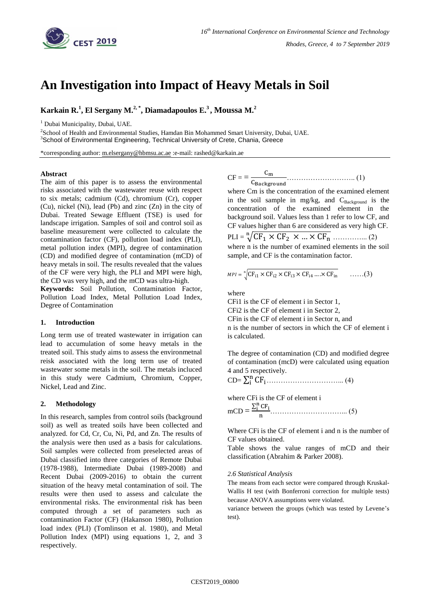

# **An Investigation into Impact of Heavy Metals in Soil**

**Karkain R. 1 , El Sergany M. 2, \* , Diamadapoulos E. 3 , Moussa M. 2**

<sup>1</sup> Dubai Municipality, Dubai, UAE.

<sup>2</sup>School of Health and Environmental Studies, Hamdan Bin Mohammed Smart University, Dubai, UAE. <sup>3</sup>School of Environmental Engineering, Technical University of Crete, Chania, Greece

\*corresponding author: [m.elsergany@hbmsu.ac.ae](mailto:m.elsergany@hbmsu.ac.ae) :e-mail: rashed@karkain.ae

#### **Abstract**

The aim of this paper is to assess the environmental risks associated with the wastewater reuse with respect to six metals; cadmium (Cd), chromium (Cr), copper (Cu), nickel (Ni), lead (Pb) and zinc (Zn) in the city of Dubai. Treated Sewage Effluent (TSE) is used for landscape irrigation. Samples of soil and control soil as baseline measurement were collected to calculate the contamination factor (CF), pollution load index (PLI), metal pollution index (MPI), degree of contamination (CD) and modified degree of contamination (mCD) of heavy metals in soil. The results revealed that the values of the CF were very high, the PLI and MPI were high, the CD was very high, and the mCD was ultra-high.

**Keywords:** Soil Pollution, Contamination Factor, Pollution Load Index, Metal Pollution Load Index, Degree of Contamination

#### **1. Introduction**

Long term use of treated wastewater in irrigation can lead to accumulation of some heavy metals in the treated soil. This study aims to assess the environmetnal reisk associated with the long term use of treated wastewater some metals in the soil. The metals incluced in this study were Cadmium, Chromium, Copper, Nickel, Lead and Zinc.

## **2. Methodology**

In this research, samples from control soils (background soil) as well as treated soils have been collected and analyzed. for Cd, Cr, Cu, Ni, Pd, and Zn. The results of the analysis were then used as a basis for calculations. Soil samples were collected from preselected areas of Dubai classified into three categories of Remote Dubai (1978-1988), Intermediate Dubai (1989-2008) and Recent Dubai (2009-2016) to obtain the current situation of the heavy metal contamination of soil. The results were then used to assess and calculate the environmental risks. The environmental risk has been computed through a set of parameters such as contamination Factor (CF) (Hakanson 1980), Pollution load index (PLI) (Tomlinson et al. 1980), and Metal Pollution Index (MPI) using equations 1, 2, and 3 respectively.

CF = = ……………………….. (1)

where Cm is the concentration of the examined element in the soil sample in mg/kg, and  $C_{Background}}$  is the concentration of the examined element in the background soil. Values less than 1 refer to low CF, and CF values higher than 6 are considered as very high CF. PLI = √ …………... (2) where n is the number of examined elements in the soil sample, and CF is the contamination factor.

$$
MPI = \sqrt[n]{CF_{i1} \times CF_{i2} \times CF_{i3} \times CF_{i4} \dots \times CF_{in}} \qquad \dots \dots (3)
$$

where

CFi1 is the CF of element i in Sector 1,

CFi2 is the CF of element i in Sector 2,

CFin is the CF of element i in Sector n, and

n is the number of sectors in which the CF of element i is calculated.

The degree of contamination (CD) and modified degree of contamination (mcD) were calculated using equation 4 and 5 respectively.

$$
CD = \sum_i^n CF_i.................(4)
$$

where CFi is the CF of element i  $mCD = \frac{\sum_{i=1}^{n} C_i}{\sum_{i=1}^{n} C_i}$ …………………………... (5)

Where CFi is the CF of element i and n is the number of CF values obtained.

Table shows the value ranges of mCD and their classification (Abrahim & Parker 2008).

#### *2.6 Statistical Analysis*

The means from each sector were compared through Kruskal-Wallis H test (with Bonferroni correction for multiple tests) because ANOVA assumptions were violated.

variance between the groups (which was tested by Levene's test).